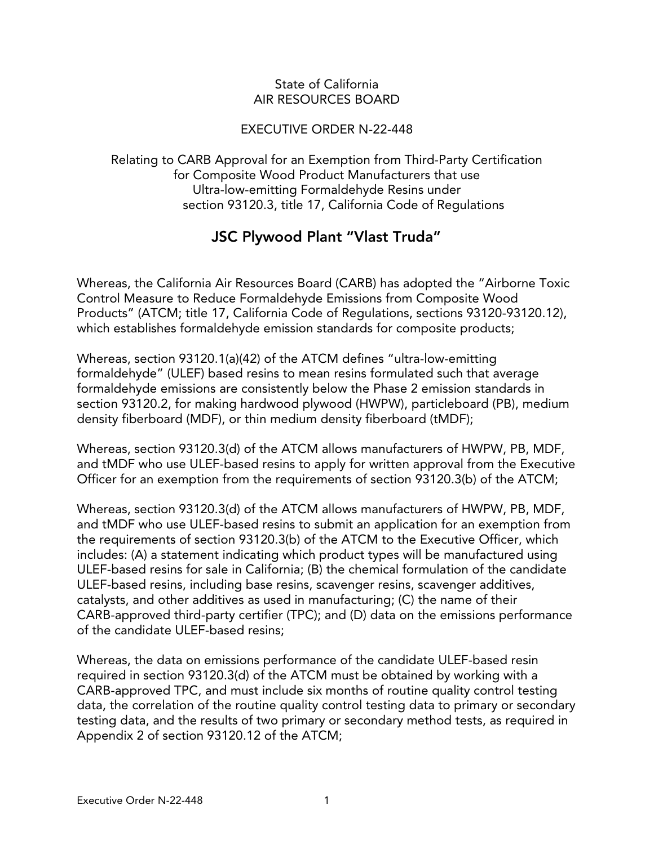#### State of California AIR RESOURCES BOARD

### EXECUTIVE ORDER N-22-448

Relating to CARB Approval for an Exemption from Third-Party Certification for Composite Wood Product Manufacturers that use Ultra-low-emitting Formaldehyde Resins under section 93120.3, title 17, California Code of Regulations

# JSC Plywood Plant "Vlast Truda"

Whereas, the California Air Resources Board (CARB) has adopted the "Airborne Toxic Control Measure to Reduce Formaldehyde Emissions from Composite Wood Products" (ATCM; title 17, California Code of Regulations, sections 93120-93120.12), which establishes formaldehyde emission standards for composite products;

Whereas, section 93120.1(a)(42) of the ATCM defines "ultra-low-emitting formaldehyde" (ULEF) based resins to mean resins formulated such that average formaldehyde emissions are consistently below the Phase 2 emission standards in section 93120.2, for making hardwood plywood (HWPW), particleboard (PB), medium density fiberboard (MDF), or thin medium density fiberboard (tMDF);

Whereas, section 93120.3(d) of the ATCM allows manufacturers of HWPW, PB, MDF, and tMDF who use ULEF-based resins to apply for written approval from the Executive Officer for an exemption from the requirements of section 93120.3(b) of the ATCM;

Whereas, section 93120.3(d) of the ATCM allows manufacturers of HWPW, PB, MDF, and tMDF who use ULEF-based resins to submit an application for an exemption from the requirements of section 93120.3(b) of the ATCM to the Executive Officer, which includes: (A) a statement indicating which product types will be manufactured using ULEF-based resins for sale in California; (B) the chemical formulation of the candidate ULEF-based resins, including base resins, scavenger resins, scavenger additives, catalysts, and other additives as used in manufacturing; (C) the name of their CARB-approved third-party certifier (TPC); and (D) data on the emissions performance of the candidate ULEF-based resins;

Whereas, the data on emissions performance of the candidate ULEF-based resin required in section 93120.3(d) of the ATCM must be obtained by working with a CARB-approved TPC, and must include six months of routine quality control testing data, the correlation of the routine quality control testing data to primary or secondary testing data, and the results of two primary or secondary method tests, as required in Appendix 2 of section 93120.12 of the ATCM;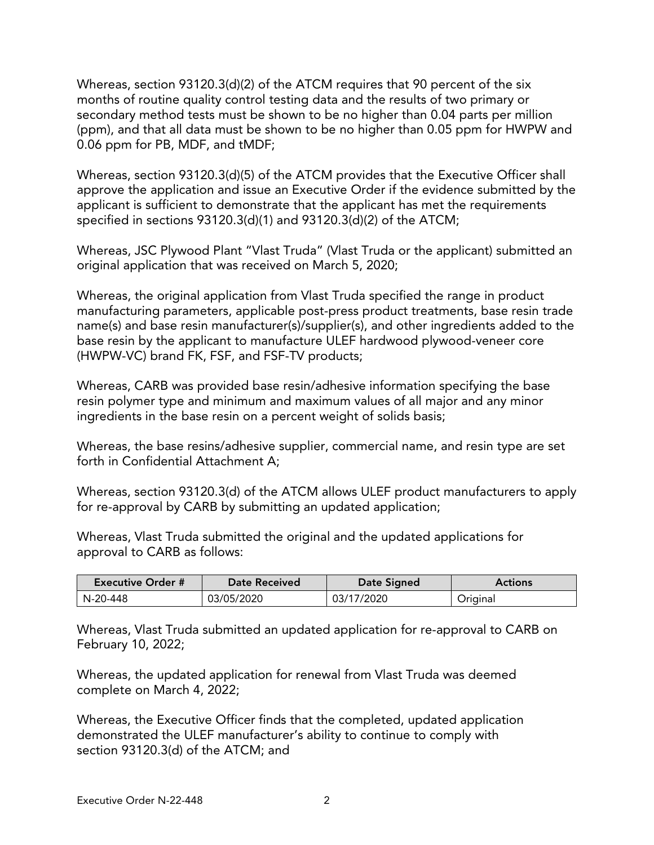Whereas, section 93120.3(d)(2) of the ATCM requires that 90 percent of the six months of routine quality control testing data and the results of two primary or secondary method tests must be shown to be no higher than 0.04 parts per million (ppm), and that all data must be shown to be no higher than 0.05 ppm for HWPW and 0.06 ppm for PB, MDF, and tMDF;

Whereas, section 93120.3(d)(5) of the ATCM provides that the Executive Officer shall approve the application and issue an Executive Order if the evidence submitted by the applicant is sufficient to demonstrate that the applicant has met the requirements specified in sections 93120.3(d)(1) and 93120.3(d)(2) of the ATCM;

Whereas, JSC Plywood Plant "Vlast Truda" (Vlast Truda or the applicant) submitted an original application that was received on March 5, 2020;

Whereas, the original application from Vlast Truda specified the range in product manufacturing parameters, applicable post-press product treatments, base resin trade name(s) and base resin manufacturer(s)/supplier(s), and other ingredients added to the base resin by the applicant to manufacture ULEF hardwood plywood-veneer core (HWPW-VC) brand FK, FSF, and FSF-TV products;

Whereas, CARB was provided base resin/adhesive information specifying the base resin polymer type and minimum and maximum values of all major and any minor ingredients in the base resin on a percent weight of solids basis;

Whereas, the base resins/adhesive supplier, commercial name, and resin type are set forth in Confidential Attachment A;

Whereas, section 93120.3(d) of the ATCM allows ULEF product manufacturers to apply for re-approval by CARB by submitting an updated application;

Whereas, Vlast Truda submitted the original and the updated applications for approval to CARB as follows:

| <b>Executive Order #</b> | <b>Date Received</b> | Date Signed | <b>Actions</b> |
|--------------------------|----------------------|-------------|----------------|
| N-20-448                 | 03/05/2020           | 03/17/2020  | Original       |

Whereas, Vlast Truda submitted an updated application for re-approval to CARB on February 10, 2022;

Whereas, the updated application for renewal from Vlast Truda was deemed complete on March 4, 2022;

Whereas, the Executive Officer finds that the completed, updated application demonstrated the ULEF manufacturer's ability to continue to comply with section 93120.3(d) of the ATCM; and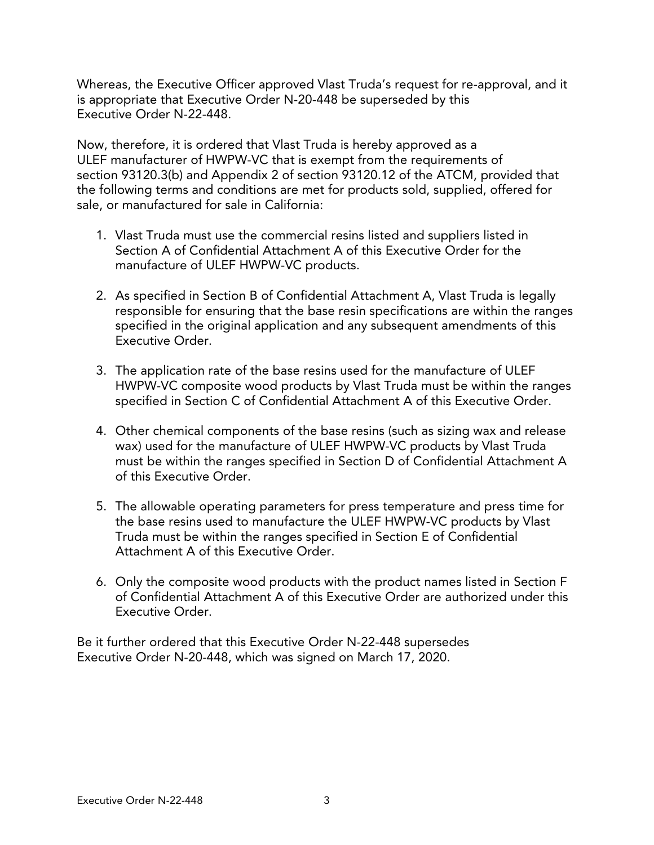Whereas, the Executive Officer approved Vlast Truda's request for re-approval, and it is appropriate that Executive Order N-20-448 be superseded by this Executive Order N-22-448.

Now, therefore, it is ordered that Vlast Truda is hereby approved as a ULEF manufacturer of HWPW-VC that is exempt from the requirements of section 93120.3(b) and Appendix 2 of section 93120.12 of the ATCM, provided that the following terms and conditions are met for products sold, supplied, offered for sale, or manufactured for sale in California:

- 1. Vlast Truda must use the commercial resins listed and suppliers listed in Section A of Confidential Attachment A of this Executive Order for the manufacture of ULEF HWPW-VC products.
- 2. As specified in Section B of Confidential Attachment A, Vlast Truda is legally responsible for ensuring that the base resin specifications are within the ranges specified in the original application and any subsequent amendments of this Executive Order.
- 3. The application rate of the base resins used for the manufacture of ULEF HWPW-VC composite wood products by Vlast Truda must be within the ranges specified in Section C of Confidential Attachment A of this Executive Order.
- 4. Other chemical components of the base resins (such as sizing wax and release wax) used for the manufacture of ULEF HWPW-VC products by Vlast Truda must be within the ranges specified in Section D of Confidential Attachment A of this Executive Order.
- 5. The allowable operating parameters for press temperature and press time for the base resins used to manufacture the ULEF HWPW-VC products by Vlast Truda must be within the ranges specified in Section E of Confidential Attachment A of this Executive Order.
- 6. Only the composite wood products with the product names listed in Section F of Confidential Attachment A of this Executive Order are authorized under this Executive Order.

Be it further ordered that this Executive Order N-22-448 supersedes Executive Order N-20-448, which was signed on March 17, 2020.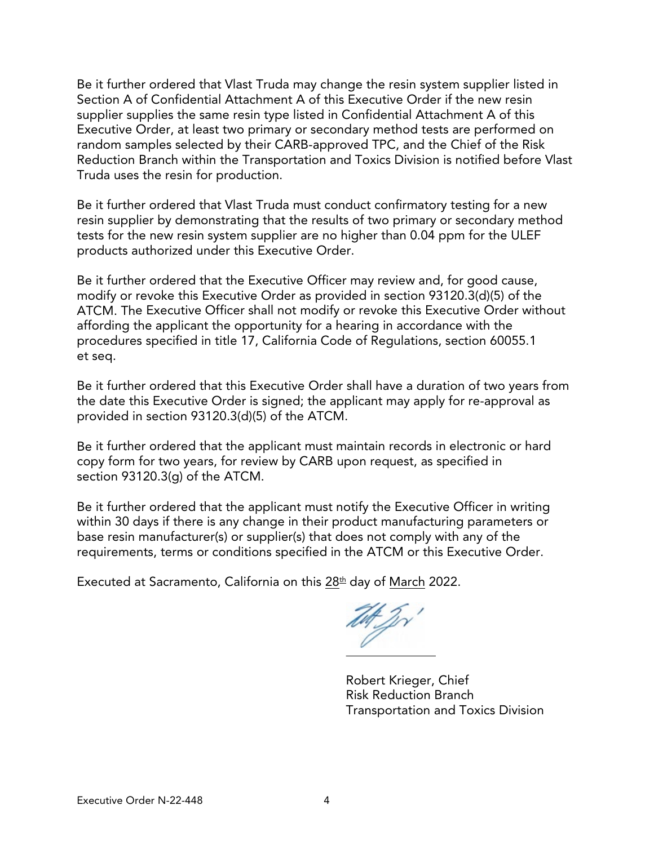Be it further ordered that Vlast Truda may change the resin system supplier listed in Section A of Confidential Attachment A of this Executive Order if the new resin supplier supplies the same resin type listed in Confidential Attachment A of this Executive Order, at least two primary or secondary method tests are performed on random samples selected by their CARB-approved TPC, and the Chief of the Risk Reduction Branch within the Transportation and Toxics Division is notified before Vlast Truda uses the resin for production.

Be it further ordered that Vlast Truda must conduct confirmatory testing for a new resin supplier by demonstrating that the results of two primary or secondary method tests for the new resin system supplier are no higher than 0.04 ppm for the ULEF products authorized under this Executive Order.

Be it further ordered that the Executive Officer may review and, for good cause, modify or revoke this Executive Order as provided in section 93120.3(d)(5) of the ATCM. The Executive Officer shall not modify or revoke this Executive Order without affording the applicant the opportunity for a hearing in accordance with the procedures specified in title 17, California Code of Regulations, section 60055.1 et seq.

Be it further ordered that this Executive Order shall have a duration of two years from the date this Executive Order is signed; the applicant may apply for re-approval as provided in section 93120.3(d)(5) of the ATCM.

Be it further ordered that the applicant must maintain records in electronic or hard copy form for two years, for review by CARB upon request, as specified in section 93120.3(g) of the ATCM.

Be it further ordered that the applicant must notify the Executive Officer in writing within 30 days if there is any change in their product manufacturing parameters or base resin manufacturer(s) or supplier(s) that does not comply with any of the requirements, terms or conditions specified in the ATCM or this Executive Order.

Executed at Sacramento, California on this  $28<sup>th</sup>$  day of March 2022.

Th Jr'  $\overline{\phantom{a}}$  , where  $\overline{\phantom{a}}$  , where  $\overline{\phantom{a}}$ 

Robert Krieger, Chief Risk Reduction Branch Transportation and Toxics Division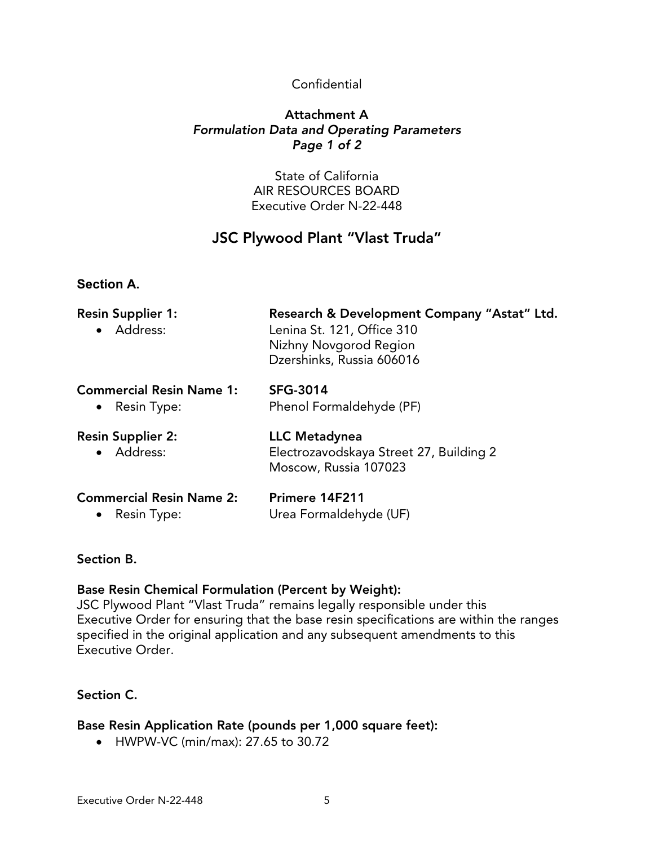## Confidential

### Attachment A *Formulation Data and Operating Parameters Page 1 of 2*

State of California AIR RESOURCES BOARD Executive Order N-22-448

# JSC Plywood Plant "Vlast Truda"

## **Section A.**

| <b>Resin Supplier 1:</b><br>• Address: | Research & Development Company "Astat" Ltd.<br>Lenina St. 121, Office 310<br>Nizhny Novgorod Region<br>Dzershinks, Russia 606016 |  |  |
|----------------------------------------|----------------------------------------------------------------------------------------------------------------------------------|--|--|
| <b>Commercial Resin Name 1:</b>        | <b>SFG-3014</b>                                                                                                                  |  |  |
| • Resin Type:                          | Phenol Formaldehyde (PF)                                                                                                         |  |  |
| <b>Resin Supplier 2:</b><br>· Address: | LLC Metadynea<br>Electrozavodskaya Street 27, Building 2<br>Moscow, Russia 107023                                                |  |  |
| <b>Commercial Resin Name 2:</b>        | Primere 14F211                                                                                                                   |  |  |
| • Resin Type:                          | Urea Formaldehyde (UF)                                                                                                           |  |  |

#### Section B.

#### Base Resin Chemical Formulation (Percent by Weight):

JSC Plywood Plant "Vlast Truda" remains legally responsible under this Executive Order for ensuring that the base resin specifications are within the ranges specified in the original application and any subsequent amendments to this Executive Order.

## Section C.

#### Base Resin Application Rate (pounds per 1,000 square feet):

• HWPW-VC (min/max): 27.65 to 30.72